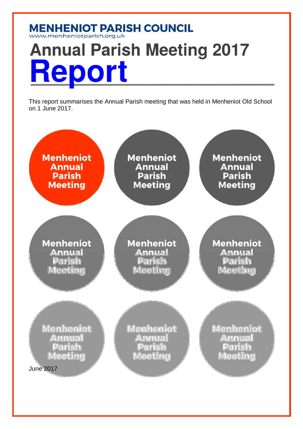# **MENHENIOT PARISH COUNCIL**<br>www.menheniotparish.org.uk **Annual Parish Meeting 2017** Report

This report summarises the Annual Parish meeting that was held in Menheniot Old School on 1 June 2017.

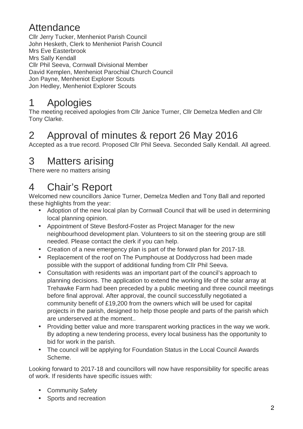#### Attendance

Cllr Jerry Tucker, Menheniot Parish Council John Hesketh, Clerk to Menheniot Parish Council Mrs Eve Easterbrook Mrs Sally Kendall Cllr Phil Seeva, Cornwall Divisional Member David Kemplen, Menheniot Parochial Church Council Jon Payne, Menheniot Explorer Scouts Jon Hedley, Menheniot Explorer Scouts

### 1 Apologies

The meeting received apologies from Cllr Janice Turner, Cllr Demelza Medlen and Cllr Tony Clarke.

#### 2 Approval of minutes & report 26 May 2016

Accepted as a true record. Proposed Cllr Phil Seeva. Seconded Sally Kendall. All agreed.

### 3 Matters arising

There were no matters arising

### 4 Chair's Report

Welcomed new councillors Janice Turner, Demelza Medlen and Tony Ball and reported these highlights from the year:

- Adoption of the new local plan by Cornwall Council that will be used in determining local planning opinion.
- Appointment of Steve Besford-Foster as Project Manager for the new neighbourhood development plan. Volunteers to sit on the steering group are still needed. Please contact the clerk if you can help.
- Creation of a new emergency plan is part of the forward plan for 2017-18.
- Replacement of the roof on The Pumphouse at Doddycross had been made possible with the support of additional funding from Cllr Phil Seeva.
- Consultation with residents was an important part of the council's approach to planning decisions. The application to extend the working life of the solar array at Trehawke Farm had been preceded by a public meeting and three council meetings before final approval. After approval, the council successfully negotiated a community benefit of £19,200 from the owners which will be used for capital projects in the parish, designed to help those people and parts of the parish which are underserved at the moment..
- Providing better value and more transparent working practices in the way we work. By adopting a new tendering process, every local business has the opportunity to bid for work in the parish.
- The council will be applying for Foundation Status in the Local Council Awards Scheme.

Looking forward to 2017-18 and councillors will now have responsibility for specific areas of work. If residents have specific issues with:

- Community Safety
- Sports and recreation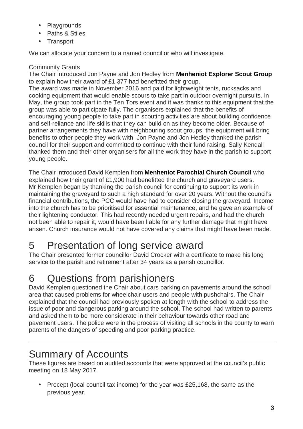- Playgrounds
- Paths & Stiles
- Transport

We can allocate your concern to a named councillor who will investigate.

#### Community Grants

The Chair introduced Jon Payne and Jon Hedley from **Menheniot Explorer Scout Group** to explain how their award of £1,377 had benefitted their group.

The award was made in November 2016 and paid for lightweight tents, rucksacks and cooking equipment that would enable scours to take part in outdoor overnight pursuits. In May, the group took part in the Ten Tors event and it was thanks to this equipment that the group was able to participate fully. The organisers explained that the benefits of encouraging young people to take part in scouting activities are about building confidence and self-reliance and life skills that they can build on as they become older. Because of partner arrangements they have with neighbouring scout groups, the equipment will bring benefits to other people they work with. Jon Payne and Jon Hedley thanked the parish council for their support and committed to continue with their fund raising. Sally Kendall thanked them and their other organisers for all the work they have in the parish to support young people.

The Chair introduced David Kemplen from **Menheniot Parochial Church Council** who explained how their grant of £1,900 had benefitted the church and graveyard users. Mr Kemplen began by thanking the parish council for continuing to support its work in maintaining the graveyard to such a high standard for over 20 years. Without the council's financial contributions, the PCC would have had to consider closing the graveyard. Income into the church has to be prioritised for essential maintenance, and he gave an example of their lightening conductor. This had recently needed urgent repairs, and had the church not been able to repair it, would have been liable for any further damage that might have arisen. Church insurance would not have covered any claims that might have been made.

## 5 Presentation of long service award

The Chair presented former councillor David Crocker with a certificate to make his long service to the parish and retirement after 34 years as a parish councillor.

## 6 Questions from parishioners

David Kemplen questioned the Chair about cars parking on pavements around the school area that caused problems for wheelchair users and people with pushchairs. The Chair explained that the council had previously spoken at length with the school to address the issue of poor and dangerous parking around the school. The school had written to parents and asked them to be more considerate in their behaviour towards other road and pavement users. The police were in the process of visiting all schools in the county to warn parents of the dangers of speeding and poor parking practice.

### Summary of Accounts

These figures are based on audited accounts that were approved at the council's public meeting on 18 May 2017.

• Precept (local council tax income) for the year was £25,168, the same as the previous year.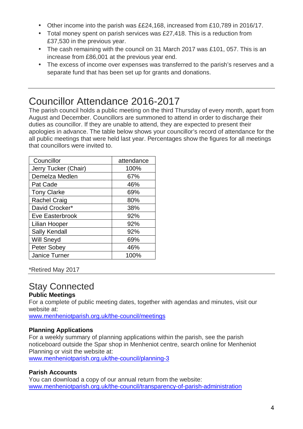- Other income into the parish was ££24,168, increased from £10,789 in 2016/17.
- Total money spent on parish services was £27,418. This is a reduction from £37,530 in the previous year.
- The cash remaining with the council on 31 March 2017 was £101, 057. This is an increase from £86,001 at the previous year end.
- The excess of income over expenses was transferred to the parish's reserves and a separate fund that has been set up for grants and donations.

### Councillor Attendance 2016-2017

The parish council holds a public meeting on the third Thursday of every month, apart from August and December. Councillors are summoned to attend in order to discharge their duties as councillor. If they are unable to attend, they are expected to present their apologies in advance. The table below shows your councillor's record of attendance for the all public meetings that were held last year. Percentages show the figures for all meetings that councillors were invited to.

| Councillor           | attendance |
|----------------------|------------|
| Jerry Tucker (Chair) | 100%       |
| Demelza Medlen       | 67%        |
| Pat Cade             | 46%        |
| <b>Tony Clarke</b>   | 69%        |
| <b>Rachel Craig</b>  | 80%        |
| David Crocker*       | 38%        |
| Eve Easterbrook      | 92%        |
| Lilian Hooper        | 92%        |
| <b>Sally Kendall</b> | 92%        |
| Will Sneyd           | 69%        |
| <b>Peter Sobey</b>   | 46%        |
| Janice Turner        | 100%       |

\*Retired May 2017

#### Stay Connected

#### **Public Meetings**

For a complete of public meeting dates, together with agendas and minutes, visit our website at:

www.menheniotparish.org.uk/the-council/meetings

#### **Planning Applications**

For a weekly summary of planning applications within the parish, see the parish noticeboard outside the Spar shop in Menheniot centre, search online for Menheniot Planning or visit the website at:

www.menheniotparish.org.uk/the-council/planning-3

#### **Parish Accounts**

You can download a copy of our annual return from the website: www.menheniotparish.org.uk/the-council/transparency-of-parish-administration